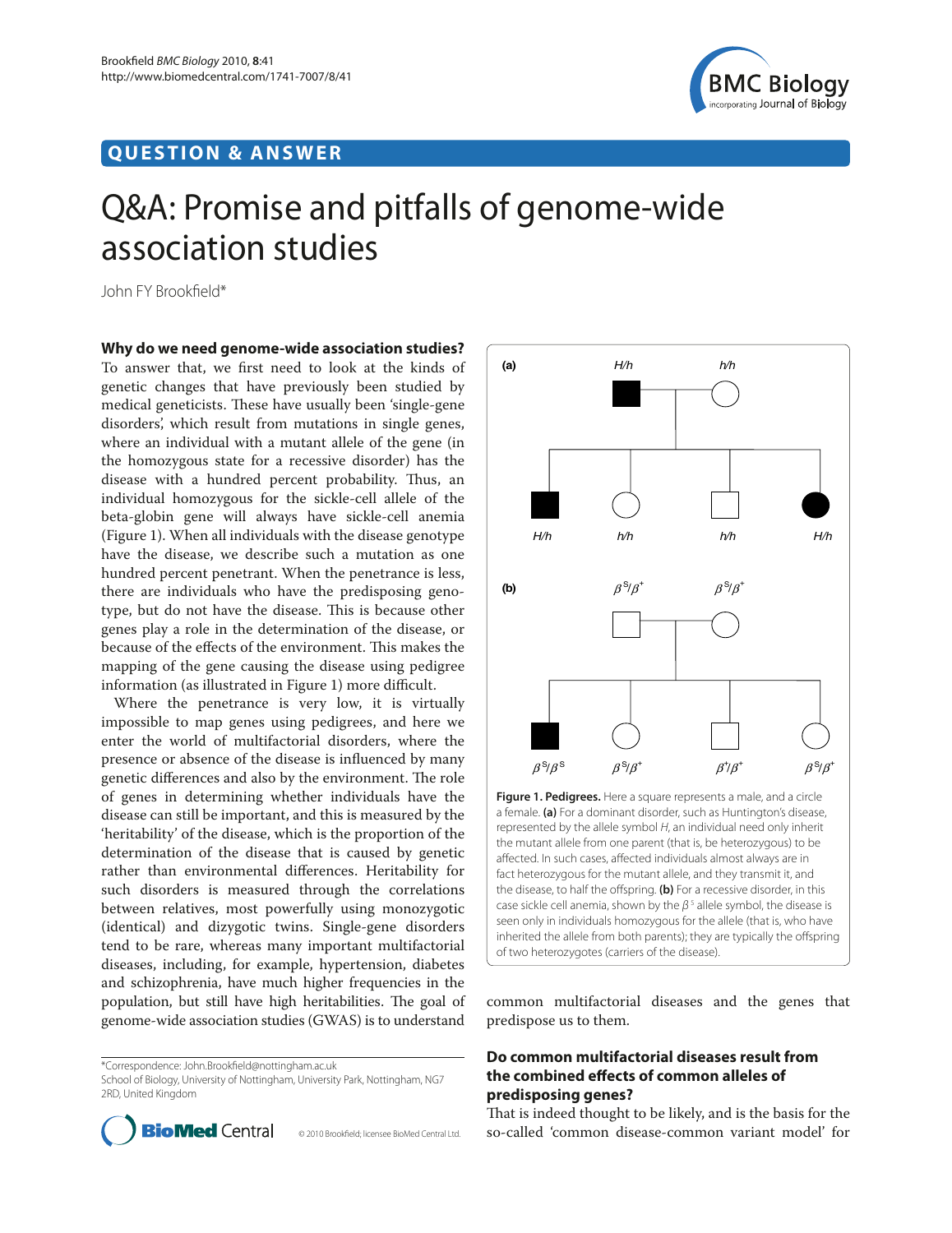# **QUESTION & ANSWER**



# Q&A: Promise and pitfalls of genome-wide association studies

John FY Brookfield\*

**Why do we need genome-wide association studies?**

To answer that, we first need to look at the kinds of genetic changes that have previously been studied by medical geneticists. These have usually been 'single-gene disorders', which result from mutations in single genes, where an individual with a mutant allele of the gene (in the homozygous state for a recessive disorder) has the disease with a hundred percent probability. Thus, an individual homozygous for the sickle-cell allele of the beta-globin gene will always have sickle-cell anemia (Figure 1). When all individuals with the disease genotype have the disease, we describe such a mutation as one hundred percent penetrant. When the penetrance is less, there are individuals who have the predisposing genotype, but do not have the disease. This is because other genes play a role in the determination of the disease, or because of the effects of the environment. This makes the mapping of the gene causing the disease using pedigree information (as illustrated in Figure 1) more difficult.

Where the penetrance is very low, it is virtually impossible to map genes using pedigrees, and here we enter the world of multifactorial disorders, where the presence or absence of the disease is influenced by many genetic differences and also by the environment. The role of genes in determining whether individuals have the disease can still be important, and this is measured by the 'heritability' of the disease, which is the proportion of the determination of the disease that is caused by genetic rather than environmental differences. Heritability for such disorders is measured through the correlations between relatives, most powerfully using monozygotic (identical) and dizygotic twins. Single-gene disorders tend to be rare, whereas many important multifactorial diseases, including, for example, hypertension, diabetes and schizophrenia, have much higher frequencies in the population, but still have high heritabilities. The goal of genome-wide association studies (GWAS) is to understand

\*Correspondence: John.Brookfield@nottingham.ac.uk

School of Biology, University of Nottingham, University Park, Nottingham, NG7 2RD, United Kingdom



© 2010 Brookfield; licensee BioMed Central Ltd.



common multifactorial diseases and the genes that predispose us to them.

#### **Do common multifactorial diseases result from the combined effects of common alleles of predisposing genes?**

of two heterozygotes (carriers of the disease).

That is indeed thought to be likely, and is the basis for the **BioMed** Central sources allowed Central source BioMed Central Ltd. so-called 'common disease-common variant model' for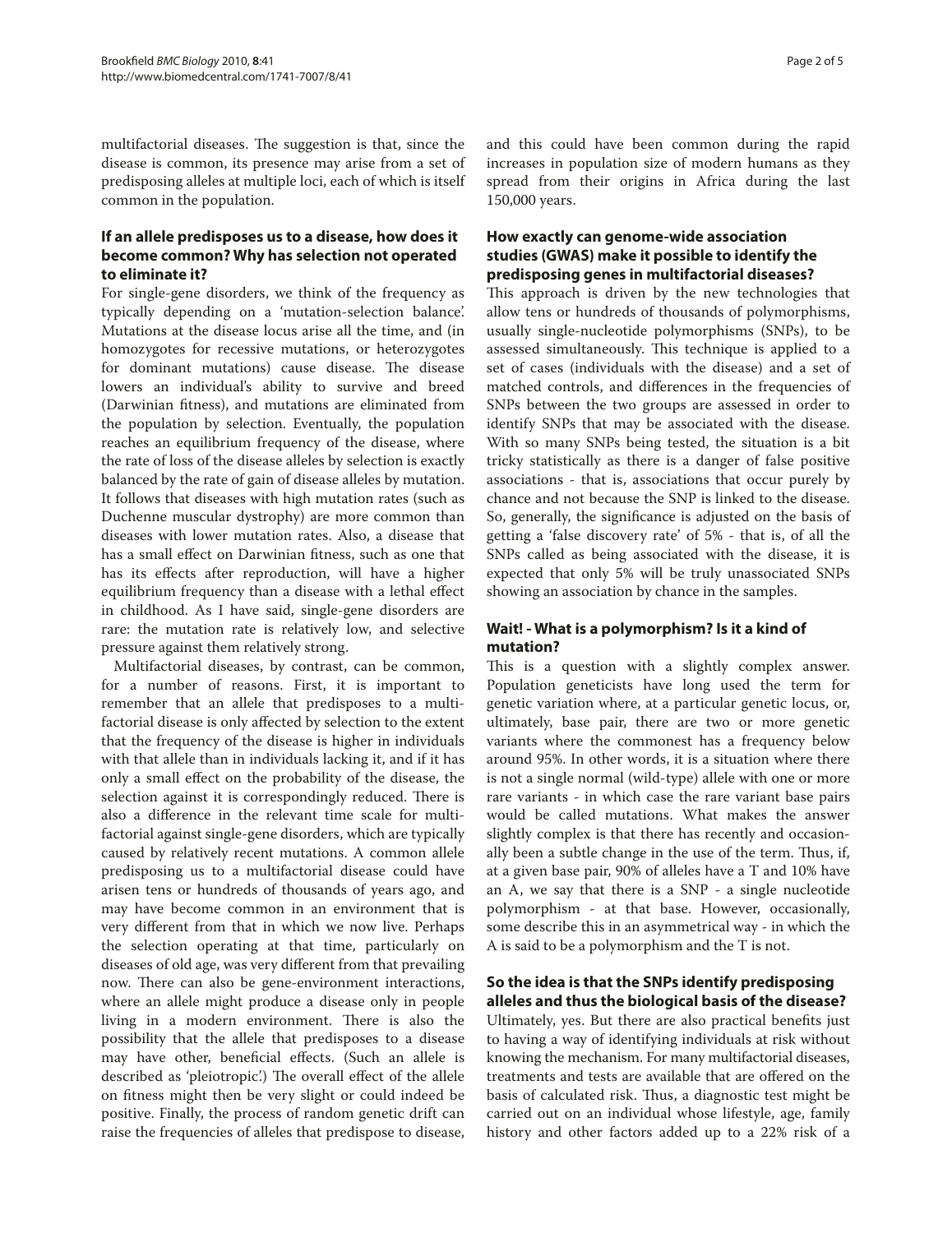multifactorial diseases. The suggestion is that, since the disease is common, its presence may arise from a set of predisposing alleles at multiple loci, each of which is itself common in the population.

### **If an allele predisposes us to a disease, how does it become common? Why has selection not operated to eliminate it?**

For single-gene disorders, we think of the frequency as typically depending on a 'mutation-selection balance'. Mutations at the disease locus arise all the time, and (in homozygotes for recessive mutations, or heterozygotes for dominant mutations) cause disease. The disease lowers an individual's ability to survive and breed (Darwinian fitness), and mutations are eliminated from the population by selection. Eventually, the population reaches an equilibrium frequency of the disease, where the rate of loss of the disease alleles by selection is exactly balanced by the rate of gain of disease alleles by mutation. It follows that diseases with high mutation rates (such as Duchenne muscular dystrophy) are more common than diseases with lower mutation rates. Also, a disease that has a small effect on Darwinian fitness, such as one that has its effects after reproduction, will have a higher equilibrium frequency than a disease with a lethal effect in childhood. As I have said, single-gene disorders are rare: the mutation rate is relatively low, and selective pressure against them relatively strong.

Multifactorial diseases, by contrast, can be common, for a number of reasons. First, it is important to remember that an allele that predisposes to a multifactorial disease is only affected by selection to the extent that the frequency of the disease is higher in individuals with that allele than in individuals lacking it, and if it has only a small effect on the probability of the disease, the selection against it is correspondingly reduced. There is also a difference in the relevant time scale for multifactorial against single-gene disorders, which are typically caused by relatively recent mutations. A common allele predisposing us to a multifactorial disease could have arisen tens or hundreds of thousands of years ago, and may have become common in an environment that is very different from that in which we now live. Perhaps the selection operating at that time, particularly on diseases of old age, was very different from that prevailing now. There can also be gene-environment interactions, where an allele might produce a disease only in people living in a modern environment. There is also the possibility that the allele that predisposes to a disease may have other, beneficial effects. (Such an allele is described as 'pleiotropic'.) The overall effect of the allele on fitness might then be very slight or could indeed be positive. Finally, the process of random genetic drift can raise the frequencies of alleles that predispose to disease, and this could have been common during the rapid increases in population size of modern humans as they spread from their origins in Africa during the last 150,000 years.

#### **How exactly can genome-wide association studies (GWAS) make it possible to identify the predisposing genes in multifactorial diseases?**

This approach is driven by the new technologies that allow tens or hundreds of thousands of polymorphisms, usually single-nucleotide polymorphisms (SNPs), to be assessed simultaneously. This technique is applied to a set of cases (individuals with the disease) and a set of matched controls, and differences in the frequencies of SNPs between the two groups are assessed in order to identify SNPs that may be associated with the disease. With so many SNPs being tested, the situation is a bit tricky statistically as there is a danger of false positive associations - that is, associations that occur purely by chance and not because the SNP is linked to the disease. So, generally, the significance is adjusted on the basis of getting a 'false discovery rate' of 5% - that is, of all the SNPs called as being associated with the disease, it is expected that only 5% will be truly unassociated SNPs showing an association by chance in the samples.

#### **Wait! - What is a polymorphism? Is it a kind of mutation?**

This is a question with a slightly complex answer. Population geneticists have long used the term for genetic variation where, at a particular genetic locus, or, ultimately, base pair, there are two or more genetic variants where the commonest has a frequency below around 95%. In other words, it is a situation where there is not a single normal (wild-type) allele with one or more rare variants - in which case the rare variant base pairs would be called mutations. What makes the answer slightly complex is that there has recently and occasionally been a subtle change in the use of the term. Thus, if, at a given base pair, 90% of alleles have a T and 10% have an A, we say that there is a SNP - a single nucleotide polymorphism - at that base. However, occasionally, some describe this in an asymmetrical way - in which the A is said to be a polymorphism and the T is not.

# **So the idea is that the SNPs identify predisposing alleles and thus the biological basis of the disease?**

Ultimately, yes. But there are also practical benefits just to having a way of identifying individuals at risk without knowing the mechanism. For many multifactorial diseases, treatments and tests are available that are offered on the basis of calculated risk. Thus, a diagnostic test might be carried out on an individual whose lifestyle, age, family history and other factors added up to a 22% risk of a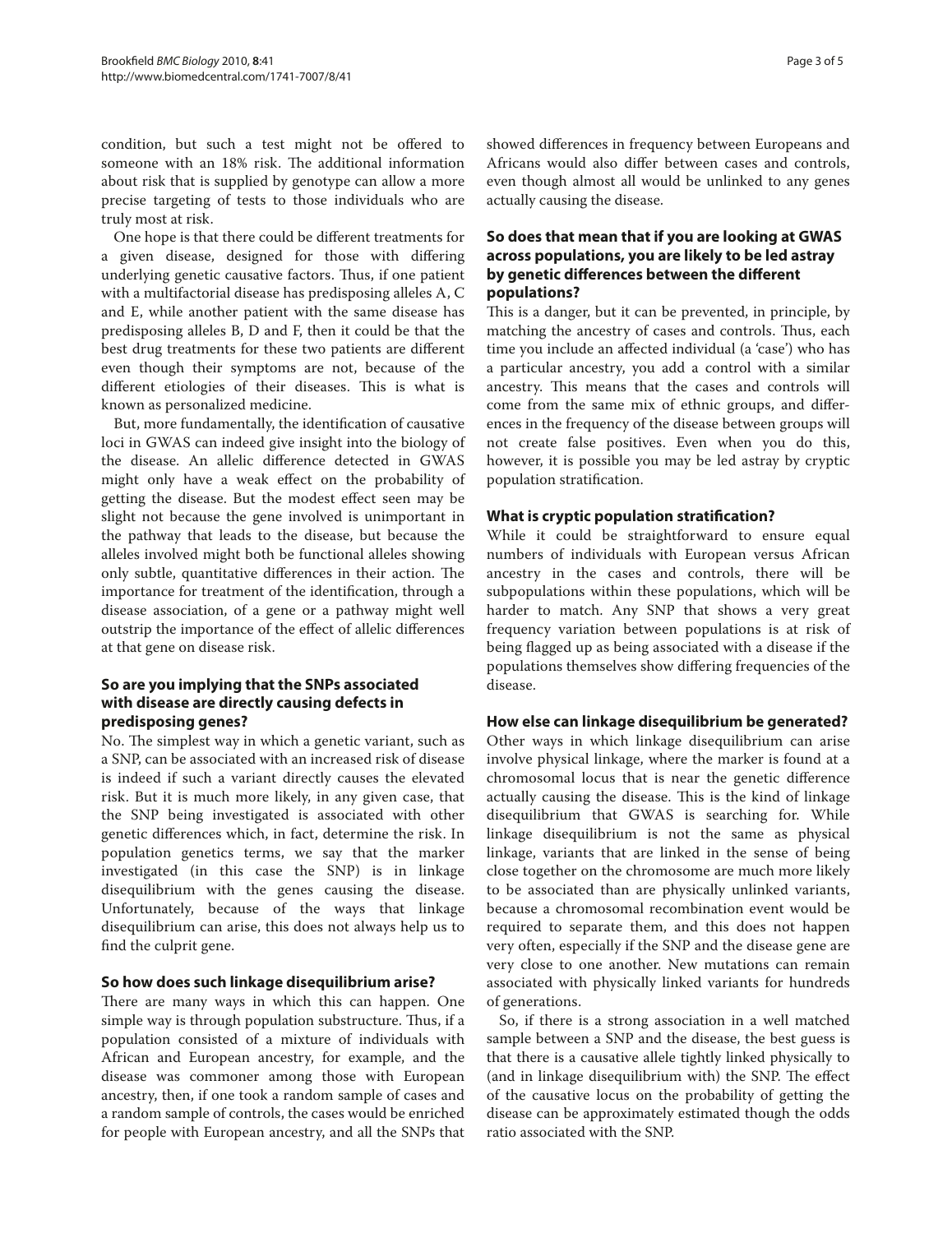condition, but such a test might not be offered to someone with an 18% risk. The additional information about risk that is supplied by genotype can allow a more precise targeting of tests to those individuals who are truly most at risk.

One hope is that there could be different treatments for a given disease, designed for those with differing underlying genetic causative factors. Thus, if one patient with a multifactorial disease has predisposing alleles A, C and E, while another patient with the same disease has predisposing alleles B, D and F, then it could be that the best drug treatments for these two patients are different even though their symptoms are not, because of the different etiologies of their diseases. This is what is known as personalized medicine.

But, more fundamentally, the identification of causative loci in GWAS can indeed give insight into the biology of the disease. An allelic difference detected in GWAS might only have a weak effect on the probability of getting the disease. But the modest effect seen may be slight not because the gene involved is unimportant in the pathway that leads to the disease, but because the alleles involved might both be functional alleles showing only subtle, quantitative differences in their action. The importance for treatment of the identification, through a disease association, of a gene or a pathway might well outstrip the importance of the effect of allelic differences at that gene on disease risk.

#### **So are you implying that the SNPs associated with disease are directly causing defects in predisposing genes?**

No. The simplest way in which a genetic variant, such as a SNP, can be associated with an increased risk of disease is indeed if such a variant directly causes the elevated risk. But it is much more likely, in any given case, that the SNP being investigated is associated with other genetic differences which, in fact, determine the risk. In population genetics terms, we say that the marker investigated (in this case the SNP) is in linkage disequilibrium with the genes causing the disease. Unfortunately, because of the ways that linkage disequilibrium can arise, this does not always help us to find the culprit gene.

#### **So how does such linkage disequilibrium arise?**

There are many ways in which this can happen. One simple way is through population substructure. Thus, if a population consisted of a mixture of individuals with African and European ancestry, for example, and the disease was commoner among those with European ancestry, then, if one took a random sample of cases and a random sample of controls, the cases would be enriched for people with European ancestry, and all the SNPs that showed differences in frequency between Europeans and Africans would also differ between cases and controls, even though almost all would be unlinked to any genes actually causing the disease.

#### **So does that mean that if you are looking at GWAS across populations, you are likely to be led astray by genetic differences between the different populations?**

This is a danger, but it can be prevented, in principle, by matching the ancestry of cases and controls. Thus, each time you include an affected individual (a 'case') who has a particular ancestry, you add a control with a similar ancestry. This means that the cases and controls will come from the same mix of ethnic groups, and differences in the frequency of the disease between groups will not create false positives. Even when you do this, however, it is possible you may be led astray by cryptic population stratification.

#### **What is cryptic population stratification?**

While it could be straightforward to ensure equal numbers of individuals with European versus African ancestry in the cases and controls, there will be subpopulations within these populations, which will be harder to match. Any SNP that shows a very great frequency variation between populations is at risk of being flagged up as being associated with a disease if the populations themselves show differing frequencies of the disease.

#### **How else can linkage disequilibrium be generated?**

Other ways in which linkage disequilibrium can arise involve physical linkage, where the marker is found at a chromosomal locus that is near the genetic difference actually causing the disease. This is the kind of linkage disequilibrium that GWAS is searching for. While linkage disequilibrium is not the same as physical linkage, variants that are linked in the sense of being close together on the chromosome are much more likely to be associated than are physically unlinked variants, because a chromosomal recombination event would be required to separate them, and this does not happen very often, especially if the SNP and the disease gene are very close to one another. New mutations can remain associated with physically linked variants for hundreds of generations.

So, if there is a strong association in a well matched sample between a SNP and the disease, the best guess is that there is a causative allele tightly linked physically to (and in linkage disequilibrium with) the SNP. The effect of the causative locus on the probability of getting the disease can be approximately estimated though the odds ratio associated with the SNP.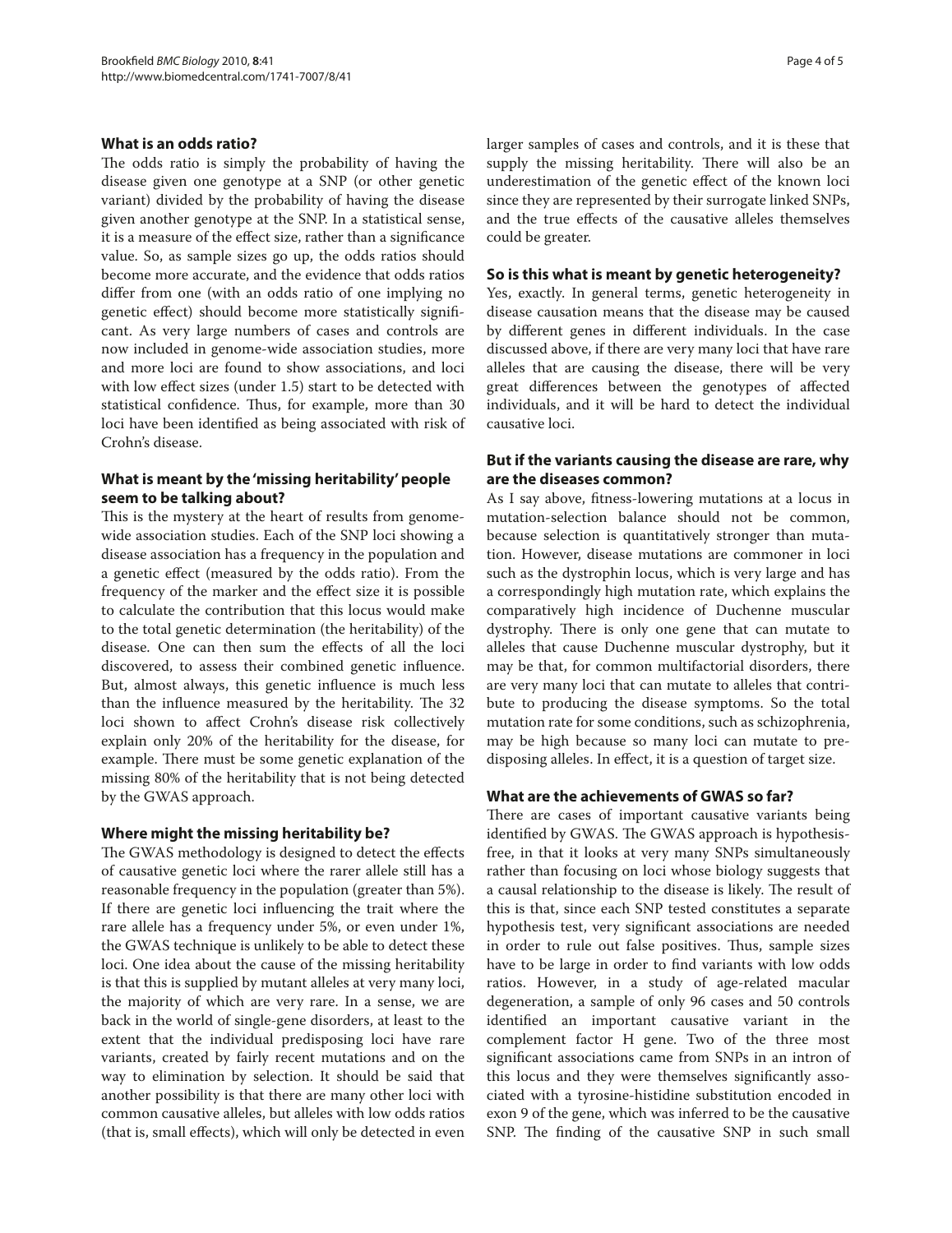#### **What is an odds ratio?**

The odds ratio is simply the probability of having the disease given one genotype at a SNP (or other genetic variant) divided by the probability of having the disease given another genotype at the SNP. In a statistical sense, it is a measure of the effect size, rather than a significance value. So, as sample sizes go up, the odds ratios should become more accurate, and the evidence that odds ratios differ from one (with an odds ratio of one implying no genetic effect) should become more statistically significant. As very large numbers of cases and controls are now included in genome-wide association studies, more and more loci are found to show associations, and loci with low effect sizes (under 1.5) start to be detected with statistical confidence. Thus, for example, more than 30 loci have been identified as being associated with risk of Crohn's disease.

## **What is meant by the 'missing heritability' people seem to be talking about?**

This is the mystery at the heart of results from genomewide association studies. Each of the SNP loci showing a disease association has a frequency in the population and a genetic effect (measured by the odds ratio). From the frequency of the marker and the effect size it is possible to calculate the contribution that this locus would make to the total genetic determination (the heritability) of the disease. One can then sum the effects of all the loci discovered, to assess their combined genetic influence. But, almost always, this genetic influence is much less than the influence measured by the heritability. The 32 loci shown to affect Crohn's disease risk collectively explain only 20% of the heritability for the disease, for example. There must be some genetic explanation of the missing 80% of the heritability that is not being detected by the GWAS approach.

#### **Where might the missing heritability be?**

The GWAS methodology is designed to detect the effects of causative genetic loci where the rarer allele still has a reasonable frequency in the population (greater than 5%). If there are genetic loci influencing the trait where the rare allele has a frequency under 5%, or even under 1%, the GWAS technique is unlikely to be able to detect these loci. One idea about the cause of the missing heritability is that this is supplied by mutant alleles at very many loci, the majority of which are very rare. In a sense, we are back in the world of single-gene disorders, at least to the extent that the individual predisposing loci have rare variants, created by fairly recent mutations and on the way to elimination by selection. It should be said that another possibility is that there are many other loci with common causative alleles, but alleles with low odds ratios (that is, small effects), which will only be detected in even larger samples of cases and controls, and it is these that supply the missing heritability. There will also be an underestimation of the genetic effect of the known loci since they are represented by their surrogate linked SNPs, and the true effects of the causative alleles themselves could be greater.

#### **So is this what is meant by genetic heterogeneity?**

Yes, exactly. In general terms, genetic heterogeneity in disease causation means that the disease may be caused by different genes in different individuals. In the case discussed above, if there are very many loci that have rare alleles that are causing the disease, there will be very great differences between the genotypes of affected individuals, and it will be hard to detect the individual causative loci.

#### **But if the variants causing the disease are rare, why are the diseases common?**

As I say above, fitness-lowering mutations at a locus in mutation-selection balance should not be common, because selection is quantitatively stronger than mutation. However, disease mutations are commoner in loci such as the dystrophin locus, which is very large and has a correspondingly high mutation rate, which explains the comparatively high incidence of Duchenne muscular dystrophy. There is only one gene that can mutate to alleles that cause Duchenne muscular dystrophy, but it may be that, for common multifactorial disorders, there are very many loci that can mutate to alleles that contribute to producing the disease symptoms. So the total mutation rate for some conditions, such as schizophrenia, may be high because so many loci can mutate to predisposing alleles. In effect, it is a question of target size.

#### **What are the achievements of GWAS so far?**

There are cases of important causative variants being identified by GWAS. The GWAS approach is hypothesisfree, in that it looks at very many SNPs simultaneously rather than focusing on loci whose biology suggests that a causal relationship to the disease is likely. The result of this is that, since each SNP tested constitutes a separate hypothesis test, very significant associations are needed in order to rule out false positives. Thus, sample sizes have to be large in order to find variants with low odds ratios. However, in a study of age-related macular degeneration, a sample of only 96 cases and 50 controls identified an important causative variant in the complement factor H gene. Two of the three most significant associations came from SNPs in an intron of this locus and they were themselves significantly associated with a tyrosine-histidine substitution encoded in exon 9 of the gene, which was inferred to be the causative SNP. The finding of the causative SNP in such small